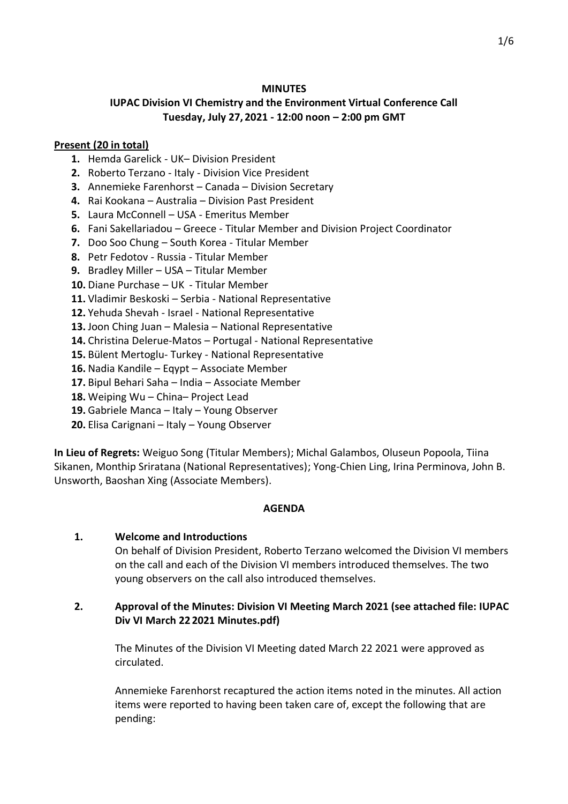### **MINUTES**

# **IUPAC Division VI Chemistry and the Environment Virtual Conference Call Tuesday, July 27, 2021 - 12:00 noon – 2:00 pm GMT**

### **Present (20 in total)**

- **1.** Hemda Garelick UK– Division President
- **2.** Roberto Terzano Italy Division Vice President
- **3.** Annemieke Farenhorst Canada Division Secretary
- **4.** Rai Kookana Australia Division Past President
- **5.** Laura McConnell USA Emeritus Member
- **6.** Fani Sakellariadou Greece Titular Member and Division Project Coordinator
- **7.** Doo Soo Chung South Korea Titular Member
- **8.** Petr Fedotov Russia Titular Member
- **9.** Bradley Miller USA Titular Member
- **10.** Diane Purchase UK Titular Member
- **11.** Vladimir Beskoski Serbia National Representative
- **12.** Yehuda Shevah Israel National Representative
- **13.** Joon Ching Juan Malesia National Representative
- **14.** Christina Delerue-Matos Portugal National Representative
- **15.** Bülent Mertoglu- Turkey National Representative
- **16.** Nadia Kandile Eqypt Associate Member
- **17.** Bipul Behari Saha India Associate Member
- **18.** Weiping Wu China– Project Lead
- **19.** Gabriele Manca Italy Young Observer
- **20.** Elisa Carignani Italy Young Observer

**In Lieu of Regrets:** Weiguo Song (Titular Members); Michal Galambos, Oluseun Popoola, Tiina Sikanen, Monthip Sriratana (National Representatives); Yong-Chien Ling, Irina Perminova, John B. Unsworth, Baoshan Xing (Associate Members).

#### **AGENDA**

#### **1. Welcome and Introductions**

On behalf of Division President, Roberto Terzano welcomed the Division VI members on the call and each of the Division VI members introduced themselves. The two young observers on the call also introduced themselves.

## **2. Approval of the Minutes: Division VI Meeting March 2021 (see attached file: IUPAC Div VI March 22 2021 Minutes.pdf)**

The Minutes of the Division VI Meeting dated March 22 2021 were approved as circulated.

Annemieke Farenhorst recaptured the action items noted in the minutes. All action items were reported to having been taken care of, except the following that are pending: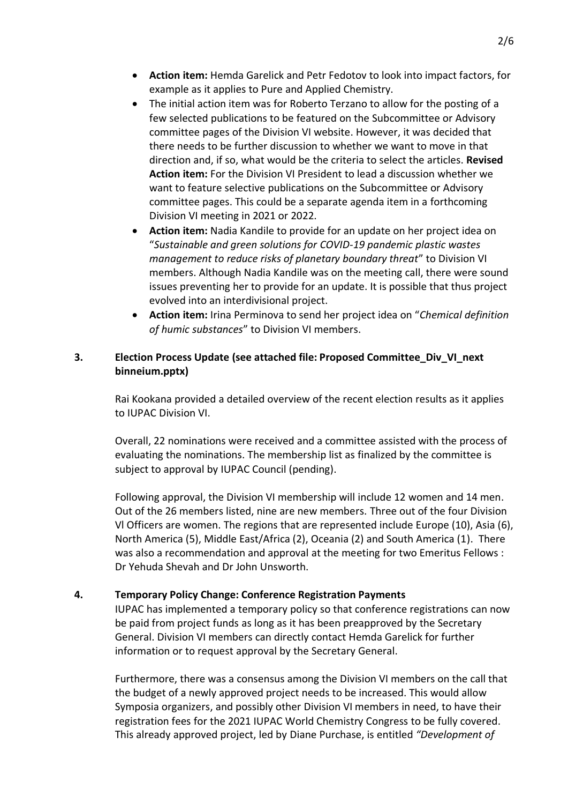- **Action item:** Hemda Garelick and Petr Fedotov to look into impact factors, for example as it applies to Pure and Applied Chemistry.
- The initial action item was for Roberto Terzano to allow for the posting of a few selected publications to be featured on the Subcommittee or Advisory committee pages of the Division VI website. However, it was decided that there needs to be further discussion to whether we want to move in that direction and, if so, what would be the criteria to select the articles. **Revised Action item:** For the Division VI President to lead a discussion whether we want to feature selective publications on the Subcommittee or Advisory committee pages. This could be a separate agenda item in a forthcoming Division VI meeting in 2021 or 2022.
- **Action item:** Nadia Kandile to provide for an update on her project idea on "*Sustainable and green solutions for COVID-19 pandemic plastic wastes management to reduce risks of planetary boundary threat*" to Division VI members. Although Nadia Kandile was on the meeting call, there were sound issues preventing her to provide for an update. It is possible that thus project evolved into an interdivisional project.
- **Action item:** Irina Perminova to send her project idea on "*Chemical definition of humic substances*" to Division VI members.

## **3. Election Process Update (see attached file: Proposed Committee\_Div\_VI\_next binneium.pptx)**

Rai Kookana provided a detailed overview of the recent election results as it applies to IUPAC Division VI.

Overall, 22 nominations were received and a committee assisted with the process of evaluating the nominations. The membership list as finalized by the committee is subject to approval by IUPAC Council (pending).

Following approval, the Division VI membership will include 12 women and 14 men. Out of the 26 members listed, nine are new members. Three out of the four Division Vl Officers are women. The regions that are represented include Europe (10), Asia (6), North America (5), Middle East/Africa (2), Oceania (2) and South America (1). There was also a recommendation and approval at the meeting for two Emeritus Fellows : Dr Yehuda Shevah and Dr John Unsworth.

## **4. Temporary Policy Change: Conference Registration Payments**

IUPAC has implemented a temporary policy so that conference registrations can now be paid from project funds as long as it has been preapproved by the Secretary General. Division VI members can directly contact Hemda Garelick for further information or to request approval by the Secretary General.

Furthermore, there was a consensus among the Division VI members on the call that the budget of a newly approved project needs to be increased. This would allow Symposia organizers, and possibly other Division VI members in need, to have their registration fees for the 2021 IUPAC World Chemistry Congress to be fully covered. This already approved project, led by Diane Purchase, is entitled *"Development of*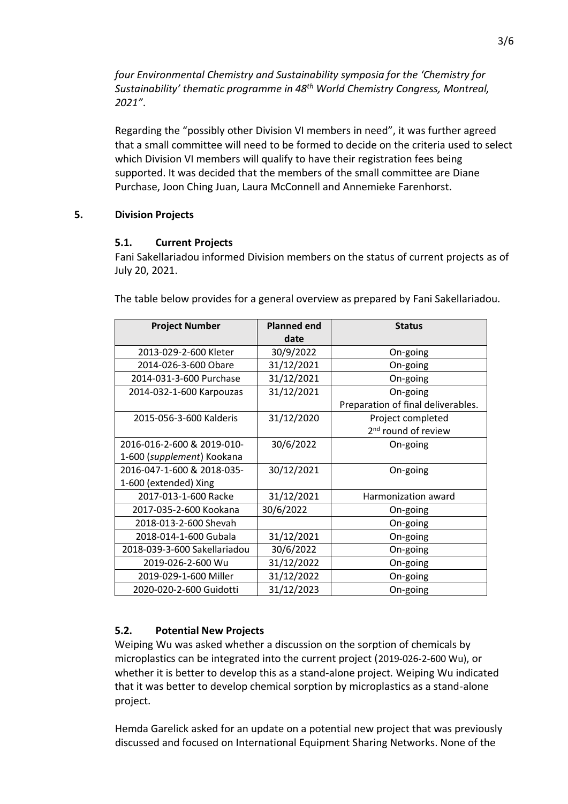*four Environmental Chemistry and Sustainability symposia for the 'Chemistry for Sustainability' thematic programme in 48th World Chemistry Congress, Montreal, 2021"*.

Regarding the "possibly other Division VI members in need", it was further agreed that a small committee will need to be formed to decide on the criteria used to select which Division VI members will qualify to have their registration fees being supported. It was decided that the members of the small committee are Diane Purchase, Joon Ching Juan, Laura McConnell and Annemieke Farenhorst.

#### **5. Division Projects**

### **5.1. Current Projects**

Fani Sakellariadou informed Division members on the status of current projects as of July 20, 2021.

The table below provides for a general overview as prepared by Fani Sakellariadou.

| <b>Project Number</b>        | <b>Planned end</b><br>date | <b>Status</b>                      |
|------------------------------|----------------------------|------------------------------------|
| 2013-029-2-600 Kleter        | 30/9/2022                  | On-going                           |
| 2014-026-3-600 Obare         | 31/12/2021                 | On-going                           |
| 2014-031-3-600 Purchase      | 31/12/2021                 | On-going                           |
| 2014-032-1-600 Karpouzas     | 31/12/2021                 | On-going                           |
|                              |                            | Preparation of final deliverables. |
| 2015-056-3-600 Kalderis      | 31/12/2020                 | Project completed                  |
|                              |                            | 2 <sup>nd</sup> round of review    |
| 2016-016-2-600 & 2019-010-   | 30/6/2022                  | On-going                           |
| 1-600 (supplement) Kookana   |                            |                                    |
| 2016-047-1-600 & 2018-035-   | 30/12/2021                 | On-going                           |
| 1-600 (extended) Xing        |                            |                                    |
| 2017-013-1-600 Racke         | 31/12/2021                 | Harmonization award                |
| 2017-035-2-600 Kookana       | 30/6/2022                  | On-going                           |
| 2018-013-2-600 Shevah        |                            | On-going                           |
| 2018-014-1-600 Gubala        | 31/12/2021                 | On-going                           |
| 2018-039-3-600 Sakellariadou | 30/6/2022                  | On-going                           |
| 2019-026-2-600 Wu            | 31/12/2022                 | On-going                           |
| 2019-029-1-600 Miller        | 31/12/2022                 | On-going                           |
| 2020-020-2-600 Guidotti      | 31/12/2023                 | On-going                           |

## **5.2. Potential New Projects**

Weiping Wu was asked whether a discussion on the sorption of chemicals by microplastics can be integrated into the current project (2019-026-2-600 Wu), or whether it is better to develop this as a stand-alone project*.* Weiping Wu indicated that it was better to develop chemical sorption by microplastics as a stand-alone project.

Hemda Garelick asked for an update on a potential new project that was previously discussed and focused on International Equipment Sharing Networks. None of the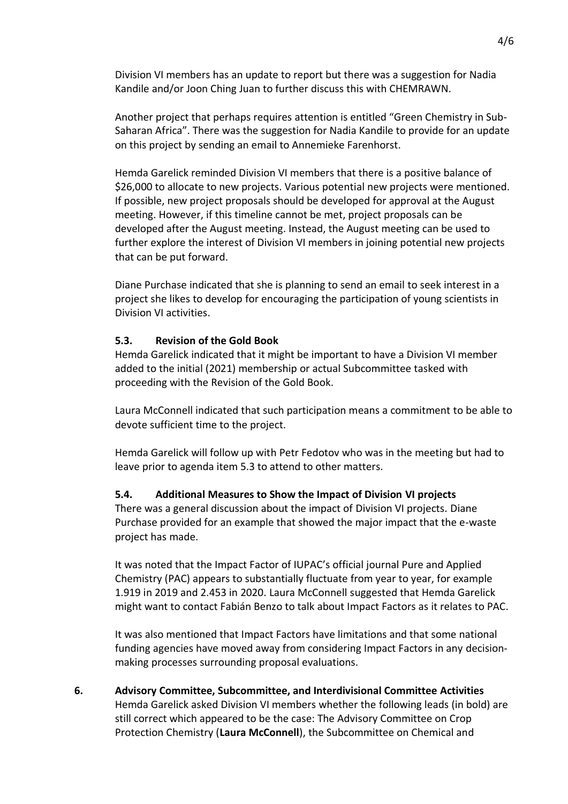Division VI members has an update to report but there was a suggestion for Nadia Kandile and/or Joon Ching Juan to further discuss this with CHEMRAWN.

Another project that perhaps requires attention is entitled "Green Chemistry in Sub-Saharan Africa". There was the suggestion for Nadia Kandile to provide for an update on this project by sending an email to Annemieke Farenhorst.

Hemda Garelick reminded Division VI members that there is a positive balance of \$26,000 to allocate to new projects. Various potential new projects were mentioned. If possible, new project proposals should be developed for approval at the August meeting. However, if this timeline cannot be met, project proposals can be developed after the August meeting. Instead, the August meeting can be used to further explore the interest of Division VI members in joining potential new projects that can be put forward.

Diane Purchase indicated that she is planning to send an email to seek interest in a project she likes to develop for encouraging the participation of young scientists in Division VI activities.

### **5.3. Revision of the Gold Book**

Hemda Garelick indicated that it might be important to have a Division VI member added to the initial (2021) membership or actual Subcommittee tasked with proceeding with the Revision of the Gold Book.

Laura McConnell indicated that such participation means a commitment to be able to devote sufficient time to the project.

Hemda Garelick will follow up with Petr Fedotov who was in the meeting but had to leave prior to agenda item 5.3 to attend to other matters.

#### **5.4. Additional Measures to Show the Impact of Division VI projects**

There was a general discussion about the impact of Division VI projects. Diane Purchase provided for an example that showed the major impact that the e-waste project has made.

It was noted that the Impact Factor of IUPAC's official journal Pure and Applied Chemistry (PAC) appears to substantially fluctuate from year to year, for example 1.919 in 2019 and 2.453 in 2020. Laura McConnell suggested that Hemda Garelick might want to contact Fabián Benzo to talk about Impact Factors as it relates to PAC.

It was also mentioned that Impact Factors have limitations and that some national funding agencies have moved away from considering Impact Factors in any decisionmaking processes surrounding proposal evaluations.

**6. Advisory Committee, Subcommittee, and Interdivisional Committee Activities** Hemda Garelick asked Division VI members whether the following leads (in bold) are still correct which appeared to be the case: The Advisory Committee on Crop Protection Chemistry (**Laura McConnell**), the Subcommittee on Chemical and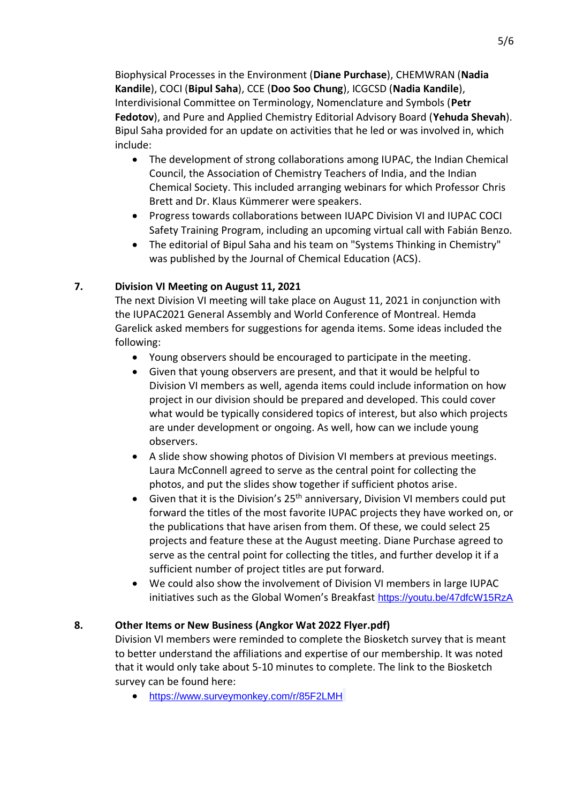Biophysical Processes in the Environment (**Diane Purchase**), CHEMWRAN (**Nadia Kandile**), COCI (**Bipul Saha**), CCE (**Doo Soo Chung**), ICGCSD (**Nadia Kandile**), Interdivisional Committee on Terminology, Nomenclature and Symbols (**Petr Fedotov**), and Pure and Applied Chemistry Editorial Advisory Board (**Yehuda Shevah**). Bipul Saha provided for an update on activities that he led or was involved in, which include:

- The development of strong collaborations among IUPAC, the Indian Chemical Council, the Association of Chemistry Teachers of India, and the Indian Chemical Society. This included arranging webinars for which Professor Chris Brett and Dr. Klaus Kümmerer were speakers.
- Progress towards collaborations between IUAPC Division VI and IUPAC COCI Safety Training Program, including an upcoming virtual call with Fabián Benzo.
- The editorial of Bipul Saha and his team on "Systems Thinking in Chemistry" was published by the Journal of Chemical Education (ACS).

# **7. Division VI Meeting on August 11, 2021**

The next Division VI meeting will take place on August 11, 2021 in conjunction with the IUPAC2021 General Assembly and World Conference of Montreal. Hemda Garelick asked members for suggestions for agenda items. Some ideas included the following:

- Young observers should be encouraged to participate in the meeting.
- Given that young observers are present, and that it would be helpful to Division VI members as well, agenda items could include information on how project in our division should be prepared and developed. This could cover what would be typically considered topics of interest, but also which projects are under development or ongoing. As well, how can we include young observers.
- A slide show showing photos of Division VI members at previous meetings. Laura McConnell agreed to serve as the central point for collecting the photos, and put the slides show together if sufficient photos arise.
- Given that it is the Division's  $25<sup>th</sup>$  anniversary, Division VI members could put forward the titles of the most favorite IUPAC projects they have worked on, or the publications that have arisen from them. Of these, we could select 25 projects and feature these at the August meeting. Diane Purchase agreed to serve as the central point for collecting the titles, and further develop it if a sufficient number of project titles are put forward.
- We could also show the involvement of Division VI members in large IUPAC initiatives such as the Global Women's Breakfast <https://youtu.be/47dfcW15RzA>

## **8. Other Items or New Business (Angkor Wat 2022 Flyer.pdf)**

Division VI members were reminded to complete the Biosketch survey that is meant to better understand the affiliations and expertise of our membership. It was noted that it would only take about 5-10 minutes to complete. The link to the Biosketch survey can be found here:

• <https://www.surveymonkey.com/r/85F2LMH>